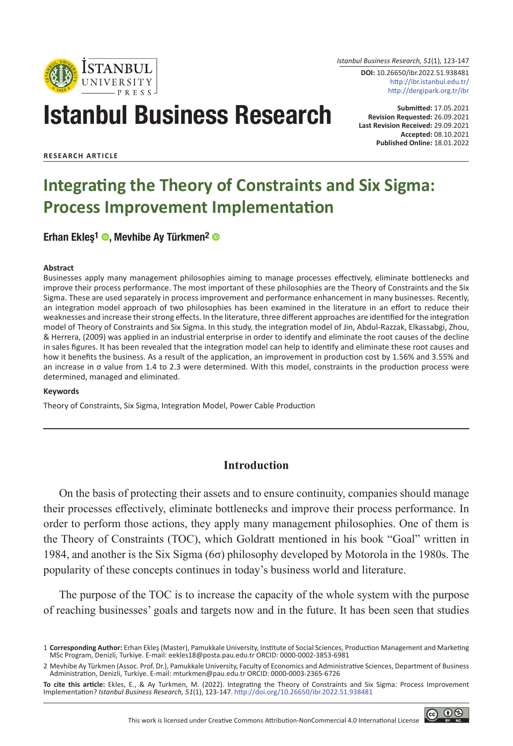

*Istanbul Business Research, 51*(1), 123-147

**DOI:** 10.26650/ibr.2022.51.938481 http://ibr.istanbul.edu.tr/ http://dergipark.org.tr/ibr

# Istanbul Business Research

**Submitted:** 17.05.2021 **Revision Requested:** 26.09.2021 **Last Revision Received:** 29.09.2021 **Accepted:** 08.10.2021 **Published Online:** 18.01.2022

**RESEARCH ARTICLE**

## **Integrating the Theory of Constraints and Six Sigma: Process Improvement Implementation**

Erhan Ekles<sup>1</sup> <sup>®</sup>, Mevhibe Ay Türkmen<sup>2</sup> <sup>®</sup>

#### **Abstract**

Businesses apply many management philosophies aiming to manage processes effectively, eliminate bottlenecks and improve their process performance. The most important of these philosophies are the Theory of Constraints and the Six Sigma. These are used separately in process improvement and performance enhancement in many businesses. Recently, an integration model approach of two philosophies has been examined in the literature in an effort to reduce their weaknesses and increase their strong effects. In the literature, three different approaches are identified for the integration model of Theory of Constraints and Six Sigma. In this study, the integration model of Jin, Abdul-Razzak, Elkassabgi, Zhou, & Herrera, (2009) was applied in an industrial enterprise in order to identify and eliminate the root causes of the decline in sales figures. It has been revealed that the integration model can help to identify and eliminate these root causes and how it benefits the business. As a result of the application, an improvement in production cost by 1.56% and 3.55% and an increase in σ value from 1.4 to 2.3 were determined. With this model, constraints in the production process were determined, managed and eliminated.

#### **Keywords**

Theory of Constraints, Six Sigma, Integration Model, Power Cable Production

## **Introduction**

On the basis of protecting their assets and to ensure continuity, companies should manage their processes effectively, eliminate bottlenecks and improve their process performance. In order to perform those actions, they apply many management philosophies. One of them is the Theory of Constraints (TOC), which Goldratt mentioned in his book "Goal" written in 1984, and another is the Six Sigma (6σ) philosophy developed by Motorola in the 1980s. The popularity of these concepts continues in today's business world and literature.

The purpose of the TOC is to increase the capacity of the whole system with the purpose of reaching businesses' goals and targets now and in the future. It has been seen that studies



<sup>1</sup> **Corresponding Author:** Erhan Ekleş (Master), Pamukkale University, Institute of Social Sciences, Production Management and Marketing MSc Program, Denizli, Turkiye. E-mail: eekles18@posta.pau.edu.tr ORCID: 0000-0002-3853-6981

<sup>2</sup> Mevhibe Ay Türkmen (Assoc. Prof. Dr.), Pamukkale University, Faculty of Economics and Administrative Sciences, Department of Business Administration, Denizli, Turkiye. E-mail: mturkmen@pau.edu.tr ORCID: 0000-0003-2365-6726

**To cite this article:** Ekles, E., & Ay Turkmen, M. (2022). Integrating the Theory of Constraints and Six Sigma: Process Improvement Implementation? *Istanbul Business Research, 51*(1), 123-147. http://doi.org/10.26650/ibr.2022.51.938481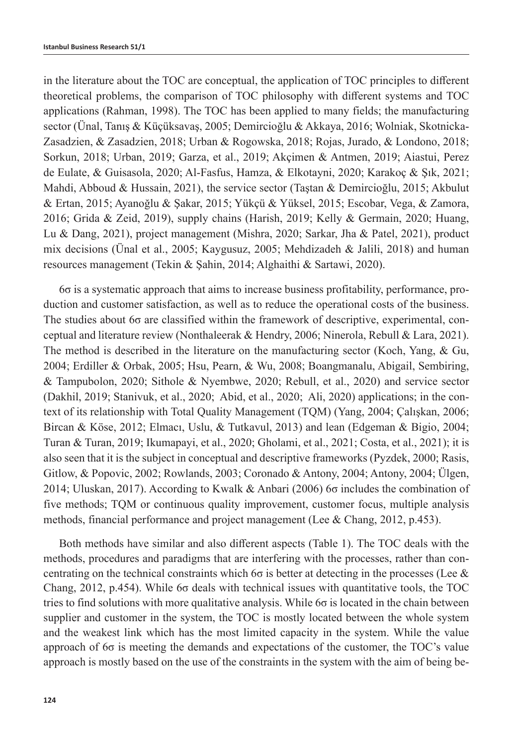in the literature about the TOC are conceptual, the application of TOC principles to different theoretical problems, the comparison of TOC philosophy with different systems and TOC applications (Rahman, 1998). The TOC has been applied to many fields; the manufacturing sector (Ünal, Tanış & Küçüksavaş, 2005; Demircioğlu & Akkaya, 2016; Wolniak, Skotnicka-Zasadzien, & Zasadzien, 2018; Urban & Rogowska, 2018; Rojas, Jurado, & Londono, 2018; Sorkun, 2018; Urban, 2019; Garza, et al., 2019; Akçimen & Antmen, 2019; Aiastui, Perez de Eulate, & Guisasola, 2020; Al-Fasfus, Hamza, & Elkotayni, 2020; Karakoç & Şık, 2021; Mahdi, Abboud & Hussain, 2021), the service sector (Taştan & Demircioğlu, 2015; Akbulut & Ertan, 2015; Ayanoğlu & Şakar, 2015; Yükçü & Yüksel, 2015; Escobar, Vega, & Zamora, 2016; Grida & Zeid, 2019), supply chains (Harish, 2019; Kelly & Germain, 2020; Huang, Lu & Dang, 2021), project management (Mishra, 2020; Sarkar, Jha & Patel, 2021), product mix decisions (Ünal et al., 2005; Kaygusuz, 2005; Mehdizadeh & Jalili, 2018) and human resources management (Tekin & Şahin, 2014; Alghaithi & Sartawi, 2020).

6σ is a systematic approach that aims to increase business profitability, performance, production and customer satisfaction, as well as to reduce the operational costs of the business. The studies about 6σ are classified within the framework of descriptive, experimental, conceptual and literature review (Nonthaleerak & Hendry, 2006; Ninerola, Rebull & Lara, 2021). The method is described in the literature on the manufacturing sector (Koch, Yang, & Gu, 2004; Erdiller & Orbak, 2005; Hsu, Pearn, & Wu, 2008; Boangmanalu, Abigail, Sembiring, & Tampubolon, 2020; Sithole & Nyembwe, 2020; Rebull, et al., 2020) and service sector (Dakhil, 2019; Stanivuk, et al., 2020; Abid, et al., 2020; Ali, 2020) applications; in the context of its relationship with Total Quality Management (TQM) (Yang, 2004; Çalışkan, 2006; Bircan & Köse, 2012; Elmacı, Uslu, & Tutkavul, 2013) and lean (Edgeman & Bigio, 2004; Turan & Turan, 2019; Ikumapayi, et al., 2020; Gholami, et al., 2021; Costa, et al., 2021); it is also seen that it is the subject in conceptual and descriptive frameworks (Pyzdek, 2000; Rasis, Gitlow, & Popovic, 2002; Rowlands, 2003; Coronado & Antony, 2004; Antony, 2004; Ülgen, 2014; Uluskan, 2017). According to Kwalk & Anbari (2006) 6σ includes the combination of five methods; TQM or continuous quality improvement, customer focus, multiple analysis methods, financial performance and project management (Lee & Chang, 2012, p.453).

Both methods have similar and also different aspects (Table 1). The TOC deals with the methods, procedures and paradigms that are interfering with the processes, rather than concentrating on the technical constraints which 6 $\sigma$  is better at detecting in the processes (Lee  $\&$ Chang, 2012, p.454). While 6σ deals with technical issues with quantitative tools, the TOC tries to find solutions with more qualitative analysis. While 6σ is located in the chain between supplier and customer in the system, the TOC is mostly located between the whole system and the weakest link which has the most limited capacity in the system. While the value approach of 6σ is meeting the demands and expectations of the customer, the TOC's value approach is mostly based on the use of the constraints in the system with the aim of being be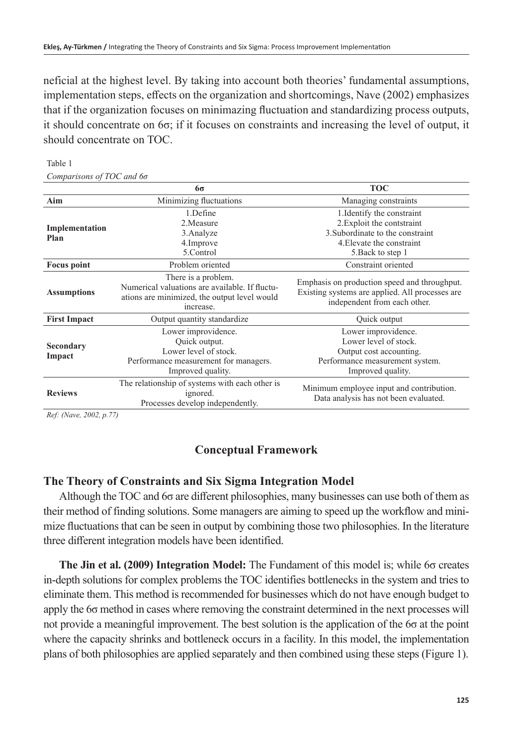neficial at the highest level. By taking into account both theories' fundamental assumptions, implementation steps, effects on the organization and shortcomings, Nave (2002) emphasizes that if the organization focuses on minimazing fluctuation and standardizing process outputs, it should concentrate on 6σ; if it focuses on constraints and increasing the level of output, it should concentrate on TOC.

|                     | 6σ                                                                                                                                 | <b>TOC</b>                                                                                                                      |
|---------------------|------------------------------------------------------------------------------------------------------------------------------------|---------------------------------------------------------------------------------------------------------------------------------|
| Aim                 | Minimizing fluctuations                                                                                                            | Managing constraints                                                                                                            |
|                     | 1.Define                                                                                                                           | 1. Identify the constraint                                                                                                      |
| Implementation      | 2. Measure                                                                                                                         | 2. Exploit the contstraint                                                                                                      |
| Plan                | 3. Analyze                                                                                                                         | 3. Subordinate to the constraint                                                                                                |
|                     | 4. Improve                                                                                                                         | 4. Elevate the constraint                                                                                                       |
|                     | 5.Control                                                                                                                          | 5. Back to step 1                                                                                                               |
| <b>Focus point</b>  | Problem oriented                                                                                                                   | Constraint oriented                                                                                                             |
| <b>Assumptions</b>  | There is a problem.<br>Numerical valuations are available. If fluctu-<br>ations are minimized, the output level would<br>increase. | Emphasis on production speed and throughput.<br>Existing systems are applied. All processes are<br>independent from each other. |
| <b>First Impact</b> | Output quantity standardize                                                                                                        | Quick output                                                                                                                    |
|                     | Lower improvidence.<br>Quick output.                                                                                               | Lower improvidence.<br>Lower level of stock.                                                                                    |
| Secondary           | Lower level of stock.                                                                                                              | Output cost accounting.                                                                                                         |
| Impact              | Performance measurement for managers.                                                                                              | Performance measurement system.                                                                                                 |
|                     | Improved quality.                                                                                                                  | Improved quality.                                                                                                               |
| <b>Reviews</b>      | The relationship of systems with each other is<br>ignored.<br>Processes develop independently.                                     | Minimum employee input and contribution.<br>Data analysis has not been evaluated.                                               |

#### Table 1 *Comparisons of TOC and 6σ*

*Ref: (Nave, 2002, p.77)*

## **Conceptual Framework**

## **The Theory of Constraints and Six Sigma Integration Model**

Although the TOC and 6σ are different philosophies, many businesses can use both of them as their method of finding solutions. Some managers are aiming to speed up the workflow and minimize fluctuations that can be seen in output by combining those two philosophies. In the literature three different integration models have been identified.

**The Jin et al. (2009) Integration Model:** The Fundament of this model is; while 6σ creates in-depth solutions for complex problems the TOC identifies bottlenecks in the system and tries to eliminate them. This method is recommended for businesses which do not have enough budget to apply the 6σ method in cases where removing the constraint determined in the next processes will not provide a meaningful improvement. The best solution is the application of the 6σ at the point where the capacity shrinks and bottleneck occurs in a facility. In this model, the implementation plans of both philosophies are applied separately and then combined using these steps (Figure 1).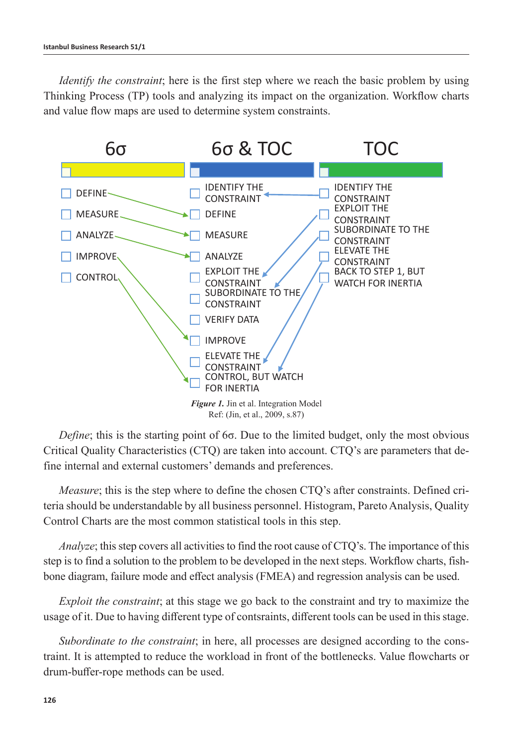*Identify the constraint*; here is the first step where we reach the basic problem by using Thinking Process (TP) tools and analyzing its impact on the organization. Workflow charts and value flow maps are used to determine system constraints.



*Define*; this is the starting point of 6σ. Due to the limited budget, only the most obvious Critical Quality Characteristics (CTQ) are taken into account. CTQ's are parameters that define internal and external customers' demands and preferences.

*Measure*; this is the step where to define the chosen CTQ's after constraints. Defined criteria should be understandable by all business personnel. Histogram, Pareto Analysis, Quality Control Charts are the most common statistical tools in this step.

*Analyze*; this step covers all activities to find the root cause of CTQ's. The importance of this step is to find a solution to the problem to be developed in the next steps. Workflow charts, fishbone diagram, failure mode and effect analysis (FMEA) and regression analysis can be used.

*Exploit the constraint*; at this stage we go back to the constraint and try to maximize the usage of it. Due to having different type of contsraints, different tools can be used in this stage.

*Subordinate to the constraint*; in here, all processes are designed according to the constraint. It is attempted to reduce the workload in front of the bottlenecks. Value flowcharts or drum-buffer-rope methods can be used.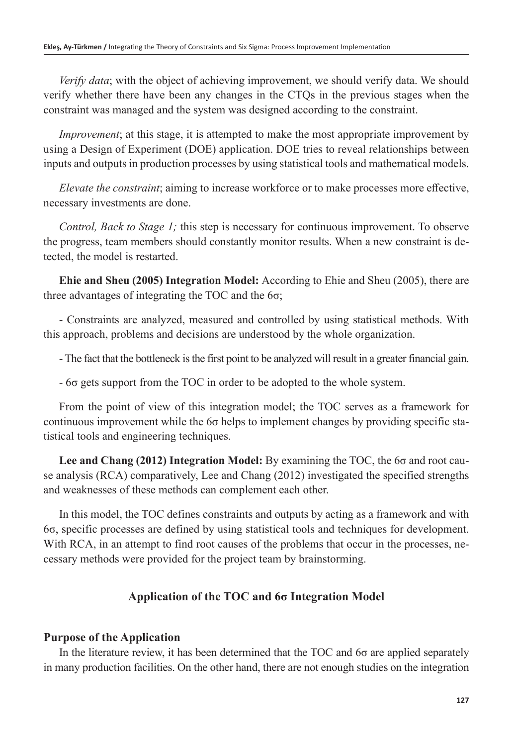*Verify data*; with the object of achieving improvement, we should verify data. We should verify whether there have been any changes in the CTQs in the previous stages when the constraint was managed and the system was designed according to the constraint.

*Improvement*; at this stage, it is attempted to make the most appropriate improvement by using a Design of Experiment (DOE) application. DOE tries to reveal relationships between inputs and outputs in production processes by using statistical tools and mathematical models.

*Elevate the constraint*; aiming to increase workforce or to make processes more effective, necessary investments are done.

*Control, Back to Stage 1;* this step is necessary for continuous improvement. To observe the progress, team members should constantly monitor results. When a new constraint is detected, the model is restarted.

**Ehie and Sheu (2005) Integration Model:** According to Ehie and Sheu (2005), there are three advantages of integrating the TOC and the 6σ;

- Constraints are analyzed, measured and controlled by using statistical methods. With this approach, problems and decisions are understood by the whole organization.

- The fact that the bottleneck is the first point to be analyzed will result in a greater financial gain.

- 6σ gets support from the TOC in order to be adopted to the whole system.

From the point of view of this integration model; the TOC serves as a framework for continuous improvement while the 6σ helps to implement changes by providing specific statistical tools and engineering techniques.

**Lee and Chang (2012) Integration Model:** By examining the TOC, the 6σ and root cause analysis (RCA) comparatively, Lee and Chang (2012) investigated the specified strengths and weaknesses of these methods can complement each other.

In this model, the TOC defines constraints and outputs by acting as a framework and with 6σ, specific processes are defined by using statistical tools and techniques for development. With RCA, in an attempt to find root causes of the problems that occur in the processes, necessary methods were provided for the project team by brainstorming.

## **Application of the TOC and 6σ Integration Model**

## **Purpose of the Application**

In the literature review, it has been determined that the TOC and  $6\sigma$  are applied separately in many production facilities. On the other hand, there are not enough studies on the integration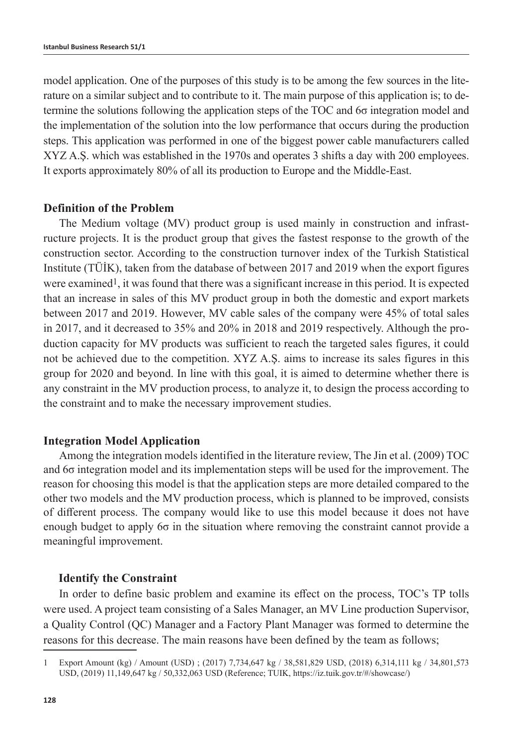model application. One of the purposes of this study is to be among the few sources in the literature on a similar subject and to contribute to it. The main purpose of this application is; to determine the solutions following the application steps of the TOC and 6σ integration model and the implementation of the solution into the low performance that occurs during the production steps. This application was performed in one of the biggest power cable manufacturers called XYZ A.Ş. which was established in the 1970s and operates 3 shifts a day with 200 employees. It exports approximately 80% of all its production to Europe and the Middle-East.

### **Definition of the Problem**

The Medium voltage (MV) product group is used mainly in construction and infrastructure projects. It is the product group that gives the fastest response to the growth of the construction sector. According to the construction turnover index of the Turkish Statistical Institute (TÜİK), taken from the database of between 2017 and 2019 when the export figures were examined1, it was found that there was a significant increase in this period. It is expected that an increase in sales of this MV product group in both the domestic and export markets between 2017 and 2019. However, MV cable sales of the company were 45% of total sales in 2017, and it decreased to 35% and 20% in 2018 and 2019 respectively. Although the production capacity for MV products was sufficient to reach the targeted sales figures, it could not be achieved due to the competition. XYZ A.Ş. aims to increase its sales figures in this group for 2020 and beyond. In line with this goal, it is aimed to determine whether there is any constraint in the MV production process, to analyze it, to design the process according to the constraint and to make the necessary improvement studies.

#### **Integration Model Application**

Among the integration models identified in the literature review, The Jin et al. (2009) TOC and 6σ integration model and its implementation steps will be used for the improvement. The reason for choosing this model is that the application steps are more detailed compared to the other two models and the MV production process, which is planned to be improved, consists of different process. The company would like to use this model because it does not have enough budget to apply 6σ in the situation where removing the constraint cannot provide a meaningful improvement.

#### **Identify the Constraint**

In order to define basic problem and examine its effect on the process, TOC's TP tolls were used. A project team consisting of a Sales Manager, an MV Line production Supervisor, a Quality Control (QC) Manager and a Factory Plant Manager was formed to determine the reasons for this decrease. The main reasons have been defined by the team as follows;

<sup>1</sup> Export Amount (kg) / Amount (USD) ; (2017) 7,734,647 kg / 38,581,829 USD, (2018) 6,314,111 kg / 34,801,573 USD, (2019) 11,149,647 kg / 50,332,063 USD (Reference; TUIK, https://iz.tuik.gov.tr/#/showcase/)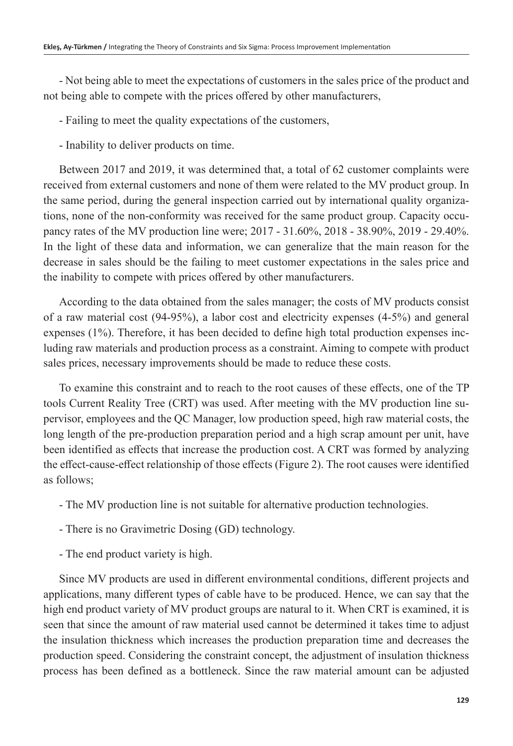- Not being able to meet the expectations of customers in the sales price of the product and not being able to compete with the prices offered by other manufacturers,

- Failing to meet the quality expectations of the customers,

- Inability to deliver products on time.

Between 2017 and 2019, it was determined that, a total of 62 customer complaints were received from external customers and none of them were related to the MV product group. In the same period, during the general inspection carried out by international quality organizations, none of the non-conformity was received for the same product group. Capacity occupancy rates of the MV production line were; 2017 - 31.60%, 2018 - 38.90%, 2019 - 29.40%. In the light of these data and information, we can generalize that the main reason for the decrease in sales should be the failing to meet customer expectations in the sales price and the inability to compete with prices offered by other manufacturers.

According to the data obtained from the sales manager; the costs of MV products consist of a raw material cost (94-95%), a labor cost and electricity expenses (4-5%) and general expenses (1%). Therefore, it has been decided to define high total production expenses including raw materials and production process as a constraint. Aiming to compete with product sales prices, necessary improvements should be made to reduce these costs.

To examine this constraint and to reach to the root causes of these effects, one of the TP tools Current Reality Tree (CRT) was used. After meeting with the MV production line supervisor, employees and the QC Manager, low production speed, high raw material costs, the long length of the pre-production preparation period and a high scrap amount per unit, have been identified as effects that increase the production cost. A CRT was formed by analyzing the effect-cause-effect relationship of those effects (Figure 2). The root causes were identified as follows;

- The MV production line is not suitable for alternative production technologies.
- There is no Gravimetric Dosing (GD) technology.
- The end product variety is high.

Since MV products are used in different environmental conditions, different projects and applications, many different types of cable have to be produced. Hence, we can say that the high end product variety of MV product groups are natural to it. When CRT is examined, it is seen that since the amount of raw material used cannot be determined it takes time to adjust the insulation thickness which increases the production preparation time and decreases the production speed. Considering the constraint concept, the adjustment of insulation thickness process has been defined as a bottleneck. Since the raw material amount can be adjusted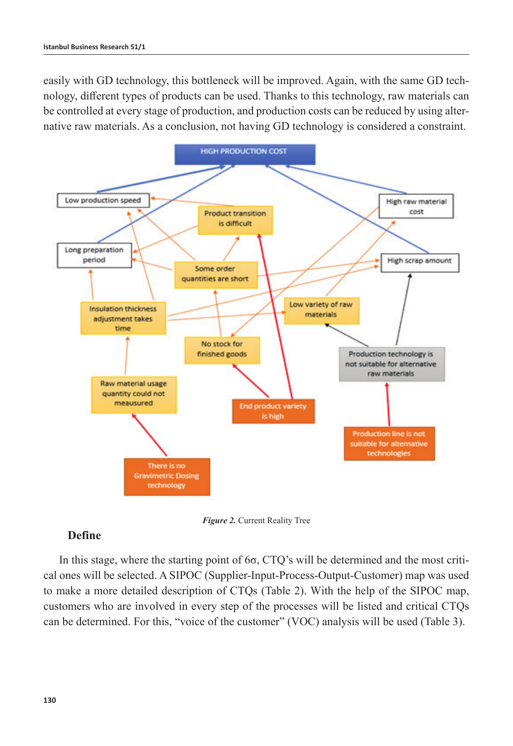easily with GD technology, this bottleneck will be improved. Again, with the same GD technology, different types of products can be used. Thanks to this technology, raw materials can be controlled at every stage of production, and production costs can be reduced by using alternative raw materials. As a conclusion, not having GD technology is considered a constraint.



*Figure 2.* Current Reality Tree

## **Define**

In this stage, where the starting point of 6σ, CTQ's will be determined and the most critical ones will be selected. A SIPOC (Supplier-Input-Process-Output-Customer) map was used to make a more detailed description of CTQs (Table 2). With the help of the SIPOC map, customers who are involved in every step of the processes will be listed and critical CTQs can be determined. For this, "voice of the customer" (VOC) analysis will be used (Table 3).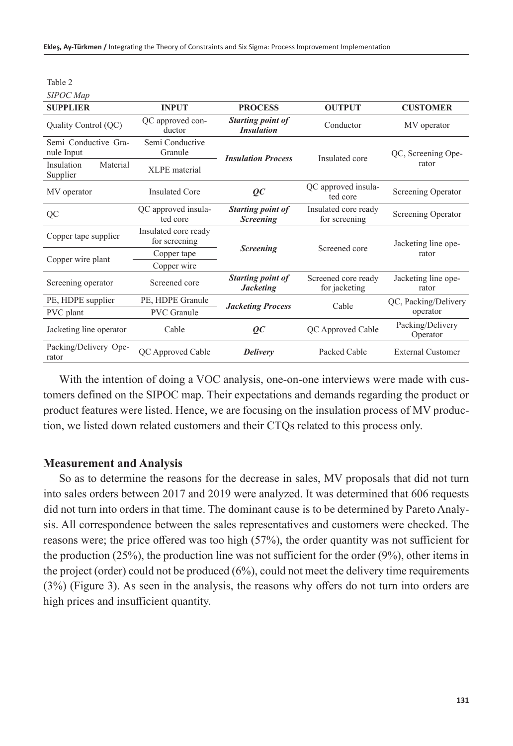| <b>SUPPLIER</b>                    | <b>INPUT</b>                          | <b>PROCESS</b>                                | <b>OUTPUT</b>                         | <b>CUSTOMER</b>              |
|------------------------------------|---------------------------------------|-----------------------------------------------|---------------------------------------|------------------------------|
| Quality Control (QC)               | QC approved con-<br>ductor            | <b>Starting point of</b><br><b>Insulation</b> | Conductor                             | MV operator                  |
| Semi Conductive Gra-<br>nule Input | Semi Conductive<br>Granule            | <b>Insulation Process</b>                     | Insulated core                        | QC, Screening Ope-           |
| Insulation<br>Material<br>Supplier | XLPE material                         |                                               |                                       | rator                        |
| MV operator                        | Insulated Core                        | $\overline{OC}$                               | QC approved insula-<br>ted core       | Screening Operator           |
| QC                                 | QC approved insula-<br>ted core       | Starting point of<br><b>Screening</b>         | Insulated core ready<br>for screening | Screening Operator           |
| Copper tape supplier               | Insulated core ready<br>for screening |                                               |                                       | Jacketing line ope-          |
|                                    | Copper tape                           | <b>Screening</b>                              | Screened core                         | rator                        |
| Copper wire plant                  | Copper wire                           |                                               |                                       |                              |
| Screening operator                 | Screened core                         | Starting point of<br><b>Jacketing</b>         | Screened core ready<br>for jacketing  | Jacketing line ope-<br>rator |
| PE, HDPE supplier                  | PE, HDPE Granule                      | <b>Jacketing Process</b>                      | Cable                                 | QC, Packing/Delivery         |
| PVC plant                          | <b>PVC</b> Granule                    |                                               |                                       | operator                     |
| Jacketing line operator            | Cable                                 | $\overline{OC}$                               | QC Approved Cable                     | Packing/Delivery<br>Operator |
| Packing/Delivery Ope-<br>rator     | QC Approved Cable                     | <b>Delivery</b>                               | Packed Cable                          | <b>External Customer</b>     |

With the intention of doing a VOC analysis, one-on-one interviews were made with customers defined on the SIPOC map. Their expectations and demands regarding the product or product features were listed. Hence, we are focusing on the insulation process of MV production, we listed down related customers and their CTQs related to this process only.

#### **Measurement and Analysis**

Table 2 *SIPOC Map*

So as to determine the reasons for the decrease in sales, MV proposals that did not turn into sales orders between 2017 and 2019 were analyzed. It was determined that 606 requests did not turn into orders in that time. The dominant cause is to be determined by Pareto Analysis. All correspondence between the sales representatives and customers were checked. The reasons were; the price offered was too high (57%), the order quantity was not sufficient for the production (25%), the production line was not sufficient for the order  $(9\%)$ , other items in the project (order) could not be produced (6%), could not meet the delivery time requirements (3%) (Figure 3). As seen in the analysis, the reasons why offers do not turn into orders are high prices and insufficient quantity.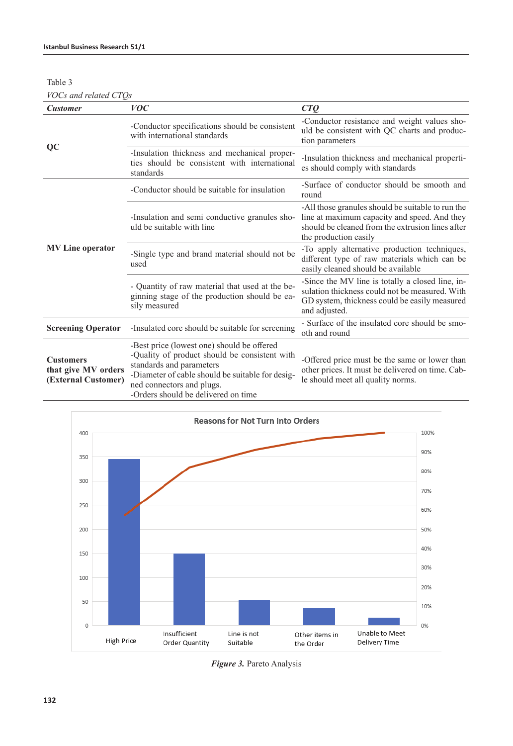Table 3

*VOCs and related CTQs*

| <b>Customer</b>                                                | <i>VOC</i>                                                                                                                                                                                                                                      | CTO                                                                                                                                                                            |
|----------------------------------------------------------------|-------------------------------------------------------------------------------------------------------------------------------------------------------------------------------------------------------------------------------------------------|--------------------------------------------------------------------------------------------------------------------------------------------------------------------------------|
|                                                                | -Conductor specifications should be consistent<br>with international standards                                                                                                                                                                  | -Conductor resistance and weight values sho-<br>uld be consistent with QC charts and produc-<br>tion parameters                                                                |
| QC                                                             | -Insulation thickness and mechanical proper-<br>ties should be consistent with international<br>standards                                                                                                                                       | -Insulation thickness and mechanical properti-<br>es should comply with standards                                                                                              |
|                                                                | -Conductor should be suitable for insulation                                                                                                                                                                                                    | -Surface of conductor should be smooth and<br>round                                                                                                                            |
| <b>MV</b> Line operator                                        | -Insulation and semi conductive granules sho-<br>uld be suitable with line                                                                                                                                                                      | -All those granules should be suitable to run the<br>line at maximum capacity and speed. And they<br>should be cleaned from the extrusion lines after<br>the production easily |
|                                                                | -Single type and brand material should not be<br>used                                                                                                                                                                                           | -To apply alternative production techniques,<br>different type of raw materials which can be<br>easily cleaned should be available                                             |
|                                                                | - Quantity of raw material that used at the be-<br>ginning stage of the production should be ea-<br>sily measured                                                                                                                               | -Since the MV line is totally a closed line, in-<br>sulation thickness could not be measured. With<br>GD system, thickness could be easily measured<br>and adjusted.           |
| <b>Screening Operator</b>                                      | -Insulated core should be suitable for screening                                                                                                                                                                                                | - Surface of the insulated core should be smo-<br>oth and round                                                                                                                |
| <b>Customers</b><br>that give MV orders<br>(External Customer) | -Best price (lowest one) should be offered<br>-Quality of product should be consistent with<br>standards and parameters<br>-Diameter of cable should be suitable for desig-<br>ned connectors and plugs.<br>-Orders should be delivered on time | -Offered price must be the same or lower than<br>other prices. It must be delivered on time. Cab-<br>le should meet all quality norms.                                         |



*Figure 3.* Pareto Analysis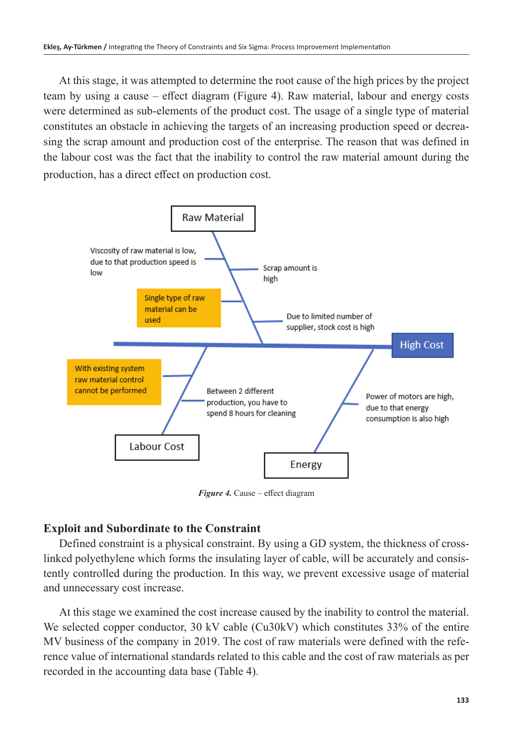At this stage, it was attempted to determine the root cause of the high prices by the project team by using a cause – effect diagram (Figure 4). Raw material, labour and energy costs were determined as sub-elements of the product cost. The usage of a single type of material constitutes an obstacle in achieving the targets of an increasing production speed or decreasing the scrap amount and production cost of the enterprise. The reason that was defined in the labour cost was the fact that the inability to control the raw material amount during the production, has a direct effect on production cost.



*Figure 4.* Cause – effect diagram

## **Exploit and Subordinate to the Constraint**

Defined constraint is a physical constraint. By using a GD system, the thickness of crosslinked polyethylene which forms the insulating layer of cable, will be accurately and consistently controlled during the production. In this way, we prevent excessive usage of material and unnecessary cost increase.

At this stage we examined the cost increase caused by the inability to control the material. We selected copper conductor, 30 kV cable (Cu30kV) which constitutes 33% of the entire MV business of the company in 2019. The cost of raw materials were defined with the reference value of international standards related to this cable and the cost of raw materials as per recorded in the accounting data base (Table 4).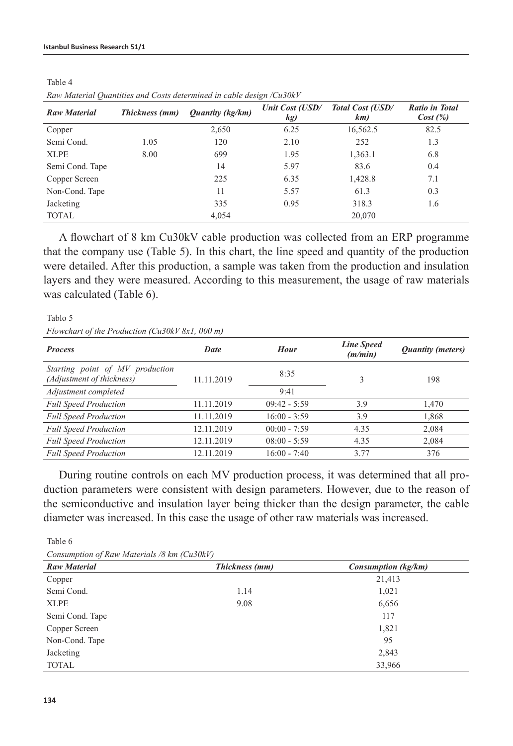| Raw material Quantities and Costs determined in cable design/Ca50Kr |                |                                |                        |                         |                                   |
|---------------------------------------------------------------------|----------------|--------------------------------|------------------------|-------------------------|-----------------------------------|
| <b>Raw Material</b>                                                 | Thickness (mm) | <i><b>Ouantity (kg/km)</b></i> | Unit Cost (USD/<br>kg) | Total Cost (USD/<br>km) | <b>Ratio in Total</b><br>Cost (%) |
| Copper                                                              |                | 2,650                          | 6.25                   | 16,562.5                | 82.5                              |
| Semi Cond.                                                          | 1.05           | 120                            | 2.10                   | 252                     | 1.3                               |
| <b>XLPE</b>                                                         | 8.00           | 699                            | 1.95                   | 1,363.1                 | 6.8                               |
| Semi Cond. Tape                                                     |                | 14                             | 5.97                   | 83.6                    | 0.4                               |
| Copper Screen                                                       |                | 225                            | 6.35                   | 1,428.8                 | 7.1                               |
| Non-Cond. Tape                                                      |                | 11                             | 5.57                   | 61.3                    | 0.3                               |
| Jacketing                                                           |                | 335                            | 0.95                   | 318.3                   | 1.6                               |
| <b>TOTAL</b>                                                        |                | 4,054                          |                        | 20,070                  |                                   |

Table 4 *Raw Material Quantities and Costs determined in cable design /Cu30kV*

A flowchart of 8 km Cu30kV cable production was collected from an ERP programme that the company use (Table 5). In this chart, the line speed and quantity of the production were detailed. After this production, a sample was taken from the production and insulation layers and they were measured. According to this measurement, the usage of raw materials was calculated (Table 6).

Tablo 5 *Flowchart of the Production (Cu30kV 8x1, 000 m)*

| <b>Process</b>                                               | Date       | <b>Hour</b>    | <b>Line Speed</b><br>(m/min) | <b>Quantity (meters)</b> |
|--------------------------------------------------------------|------------|----------------|------------------------------|--------------------------|
| Starting point of MV production<br>(Adjustment of thickness) | 11.11.2019 | 8:35           | 3                            | 198                      |
| Adjustment completed                                         |            | 9:41           |                              |                          |
| <b>Full Speed Production</b>                                 | 11.11.2019 | $09:42 - 5:59$ | 3.9                          | 1,470                    |
| <b>Full Speed Production</b>                                 | 11.11.2019 | $16:00 - 3:59$ | 3.9                          | 1,868                    |
| <b>Full Speed Production</b>                                 | 12.11.2019 | $00:00 - 7:59$ | 4.35                         | 2,084                    |
| <b>Full Speed Production</b>                                 | 12.11.2019 | $08:00 - 5:59$ | 4.35                         | 2,084                    |
| <b>Full Speed Production</b>                                 | 12.11.2019 | $16:00 - 7:40$ | 3.77                         | 376                      |

During routine controls on each MV production process, it was determined that all production parameters were consistent with design parameters. However, due to the reason of the semiconductive and insulation layer being thicker than the design parameter, the cable diameter was increased. In this case the usage of other raw materials was increased.

Table 6 *Consumption of Raw Materials /8 km (Cu30kV)*

| Consumption of Raw Materials to Kin (Caboky) |                |                     |  |  |  |
|----------------------------------------------|----------------|---------------------|--|--|--|
| <b>Raw Material</b>                          | Thickness (mm) | Consumption (kg/km) |  |  |  |
| Copper                                       |                | 21,413              |  |  |  |
| Semi Cond.                                   | 1.14           | 1,021               |  |  |  |
| <b>XLPE</b>                                  | 9.08           | 6,656               |  |  |  |
| Semi Cond. Tape                              |                | 117                 |  |  |  |
| Copper Screen                                |                | 1,821               |  |  |  |
| Non-Cond. Tape                               |                | 95                  |  |  |  |
| Jacketing                                    |                | 2,843               |  |  |  |
| <b>TOTAL</b>                                 |                | 33,966              |  |  |  |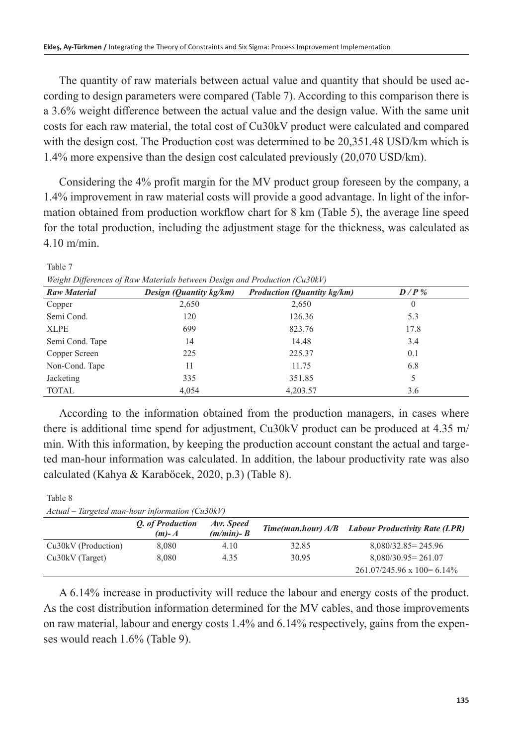The quantity of raw materials between actual value and quantity that should be used according to design parameters were compared (Table 7). According to this comparison there is a 3.6% weight difference between the actual value and the design value. With the same unit costs for each raw material, the total cost of Cu30kV product were calculated and compared with the design cost. The Production cost was determined to be 20,351.48 USD/km which is 1.4% more expensive than the design cost calculated previously (20,070 USD/km).

Considering the 4% profit margin for the MV product group foreseen by the company, a 1.4% improvement in raw material costs will provide a good advantage. In light of the information obtained from production workflow chart for 8 km (Table 5), the average line speed for the total production, including the adjustment stage for the thickness, was calculated as 4.10 m/min.

| <b>Raw Material</b> | Design (Quantity kg/km) | <b>Production (Quantity kg/km)</b> | $D/P$ %  |  |
|---------------------|-------------------------|------------------------------------|----------|--|
| Copper              | 2,650                   | 2,650                              | $\theta$ |  |
| Semi Cond.          | 120                     | 126.36                             | 5.3      |  |
| <b>XLPE</b>         | 699                     | 823.76                             | 17.8     |  |
| Semi Cond. Tape     | 14                      | 14.48                              | 3.4      |  |
| Copper Screen       | 225                     | 225.37                             | 0.1      |  |
| Non-Cond. Tape      | 11                      | 11.75                              | 6.8      |  |
| Jacketing           | 335                     | 351.85                             |          |  |
| <b>TOTAL</b>        | 4.054                   | 4,203.57                           | 3.6      |  |
|                     |                         |                                    |          |  |

Table 7 *Weight Differences of Raw Materials between Design and Production (Cu30kV)*

Table 8

According to the information obtained from the production managers, in cases where there is additional time spend for adjustment, Cu30kV product can be produced at 4.35 m/ min. With this information, by keeping the production account constant the actual and targeted man-hour information was calculated. In addition, the labour productivity rate was also calculated (Kahya & Karaböcek, 2020, p.3) (Table 8).

| $Actual - Targeted man-hour information (Cu30kV)$ |                             |                             |       |                                                   |  |
|---------------------------------------------------|-----------------------------|-----------------------------|-------|---------------------------------------------------|--|
|                                                   | O. of Production<br>$(m)-A$ | Avr. Speed<br>$(m/min)$ - B |       | Time(man.hour) A/B Labour Productivity Rate (LPR) |  |
| Cu30kV (Production)                               | 8.080                       | 4.10                        | 32.85 | $8,080/32.85 = 245.96$                            |  |
| $Cu30kV$ (Target)                                 | 8.080                       | 4.35                        | 30.95 | $8,080/30.95 = 261.07$                            |  |
|                                                   |                             |                             |       | $261.07/245.96 \times 100 = 6.14\%$               |  |

A 6.14% increase in productivity will reduce the labour and energy costs of the product. As the cost distribution information determined for the MV cables, and those improvements on raw material, labour and energy costs 1.4% and 6.14% respectively, gains from the expenses would reach 1.6% (Table 9).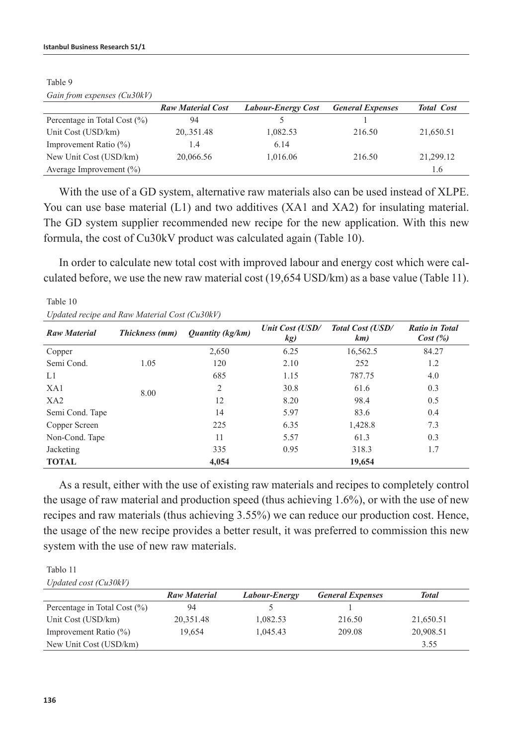|                                  | <b>Raw Material Cost</b> | <b>Labour-Energy Cost</b> | <b>General Expenses</b> | <b>Total Cost</b> |
|----------------------------------|--------------------------|---------------------------|-------------------------|-------------------|
| Percentage in Total Cost $(\% )$ | 94                       |                           |                         |                   |
| Unit Cost (USD/km)               | 20, 351.48               | 1,082.53                  | 216.50                  | 21,650.51         |
| Improvement Ratio $(\% )$        | 1.4                      | 6.14                      |                         |                   |
| New Unit Cost (USD/km)           | 20,066.56                | 1,016.06                  | 216.50                  | 21,299.12         |
| Average Improvement $(\%)$       |                          |                           |                         | 1.6               |

Table 9 *Gain from expenses (Cu30kV)*

Table 10

With the use of a GD system, alternative raw materials also can be used instead of XLPE. You can use base material (L1) and two additives (XA1 and XA2) for insulating material. The GD system supplier recommended new recipe for the new application. With this new formula, the cost of Cu30kV product was calculated again (Table 10).

In order to calculate new total cost with improved labour and energy cost which were calculated before, we use the new raw material cost (19,654 USD/km) as a base value (Table 11).

| Updated recipe and Raw Material Cost (Cu30kV) |                |                                |                        |                                |                                  |
|-----------------------------------------------|----------------|--------------------------------|------------------------|--------------------------------|----------------------------------|
| <b>Raw Material</b>                           | Thickness (mm) | <i><b>Ouantity (kg/km)</b></i> | Unit Cost (USD/<br>kg) | <b>Total Cost (USD/</b><br>km) | <b>Ratio in Total</b><br>Cost(%) |
| Copper                                        |                | 2,650                          | 6.25                   | 16,562.5                       | 84.27                            |
| Semi Cond.                                    | 1.05           | 120                            | 2.10                   | 252                            | 1.2                              |
| L1                                            |                | 685                            | 1.15                   | 787.75                         | 4.0                              |
| XA1                                           | 8.00           | 2                              | 30.8                   | 61.6                           | 0.3                              |
| XA2                                           |                | 12                             | 8.20                   | 98.4                           | 0.5                              |
| Semi Cond. Tape                               |                | 14                             | 5.97                   | 83.6                           | 0.4                              |
| Copper Screen                                 |                | 225                            | 6.35                   | 1,428.8                        | 7.3                              |
| Non-Cond. Tape                                |                | 11                             | 5.57                   | 61.3                           | 0.3                              |
| Jacketing                                     |                | 335                            | 0.95                   | 318.3                          | 1.7                              |
| <b>TOTAL</b>                                  |                | 4.054                          |                        | 19,654                         |                                  |

As a result, either with the use of existing raw materials and recipes to completely control the usage of raw material and production speed (thus achieving 1.6%), or with the use of new recipes and raw materials (thus achieving 3.55%) we can reduce our production cost. Hence, the usage of the new recipe provides a better result, it was preferred to commission this new system with the use of new raw materials.

#### Tablo 11 *Updated cost (Cu30kV)*

|                                 | <b>Raw Material</b> | Labour-Energy | <b>General Expenses</b> | <b>Total</b> |
|---------------------------------|---------------------|---------------|-------------------------|--------------|
| Percentage in Total Cost $(\%)$ | 94                  |               |                         |              |
| Unit Cost (USD/km)              | 20.351.48           | 1,082.53      | 216.50                  | 21,650.51    |
| Improvement Ratio $(\% )$       | 19.654              | 1,045.43      | 209.08                  | 20,908.51    |
| New Unit Cost (USD/km)          |                     |               |                         | 3.55         |
|                                 |                     |               |                         |              |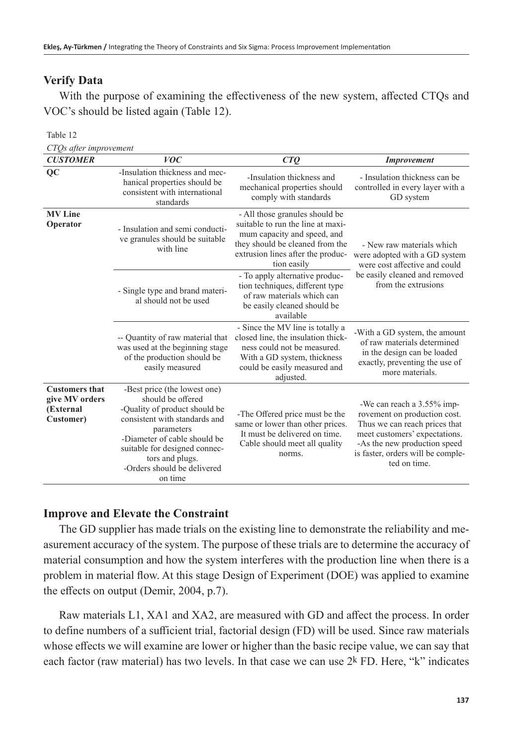#### **Verify Data**

With the purpose of examining the effectiveness of the new system, affected CTQs and VOC's should be listed again (Table 12).

#### Table 12

*CTQs after improvement*

| $\overline{\phantom{a}}$<br><b>CUSTOMER</b>                       | <b>VOC</b>                                                                                                                                                                                                                                                      | CTO                                                                                                                                                                                       | <b>Improvement</b>                                                                                                                                                                                                |  |
|-------------------------------------------------------------------|-----------------------------------------------------------------------------------------------------------------------------------------------------------------------------------------------------------------------------------------------------------------|-------------------------------------------------------------------------------------------------------------------------------------------------------------------------------------------|-------------------------------------------------------------------------------------------------------------------------------------------------------------------------------------------------------------------|--|
| QC                                                                | -Insulation thickness and mec-<br>hanical properties should be<br>consistent with international<br>standards                                                                                                                                                    | -Insulation thickness and<br>mechanical properties should<br>comply with standards                                                                                                        | - Insulation thickness can be<br>controlled in every layer with a<br>GD system                                                                                                                                    |  |
| <b>MV</b> Line<br>Operator                                        | - Insulation and semi conducti-<br>ve granules should be suitable<br>with line                                                                                                                                                                                  | - All those granules should be<br>suitable to run the line at maxi-<br>mum capacity and speed, and<br>they should be cleaned from the<br>extrusion lines after the produc-<br>tion easily | - New raw materials which<br>were adopted with a GD system<br>were cost affective and could                                                                                                                       |  |
|                                                                   | - Single type and brand materi-<br>al should not be used                                                                                                                                                                                                        | - To apply alternative produc-<br>tion techniques, different type<br>of raw materials which can<br>be easily cleaned should be<br>available                                               | be easily cleaned and removed<br>from the extrusions                                                                                                                                                              |  |
|                                                                   | -- Quantity of raw material that<br>was used at the beginning stage<br>of the production should be<br>easily measured                                                                                                                                           | - Since the MV line is totally a<br>closed line, the insulation thick-<br>ness could not be measured.<br>With a GD system, thickness<br>could be easily measured and<br>adjusted.         | -With a GD system, the amount<br>of raw materials determined<br>in the design can be loaded<br>exactly, preventing the use of<br>more materials.                                                                  |  |
| <b>Customers that</b><br>give MV orders<br>(External<br>Customer) | -Best price (the lowest one)<br>should be offered<br>-Quality of product should be<br>consistent with standards and<br>parameters<br>-Diameter of cable should be<br>suitable for designed connec-<br>tors and plugs.<br>-Orders should be delivered<br>on time | -The Offered price must be the<br>same or lower than other prices.<br>It must be delivered on time.<br>Cable should meet all quality<br>norms.                                            | -We can reach a 3.55% imp-<br>rovement on production cost.<br>Thus we can reach prices that<br>meet customers' expectations.<br>-As the new production speed<br>is faster, orders will be comple-<br>ted on time. |  |

#### **Improve and Elevate the Constraint**

The GD supplier has made trials on the existing line to demonstrate the reliability and measurement accuracy of the system. The purpose of these trials are to determine the accuracy of material consumption and how the system interferes with the production line when there is a problem in material flow. At this stage Design of Experiment (DOE) was applied to examine the effects on output (Demir, 2004, p.7).

Raw materials L1, XA1 and XA2, are measured with GD and affect the process. In order to define numbers of a sufficient trial, factorial design (FD) will be used. Since raw materials whose effects we will examine are lower or higher than the basic recipe value, we can say that each factor (raw material) has two levels. In that case we can use  $2^k$  FD. Here, "k" indicates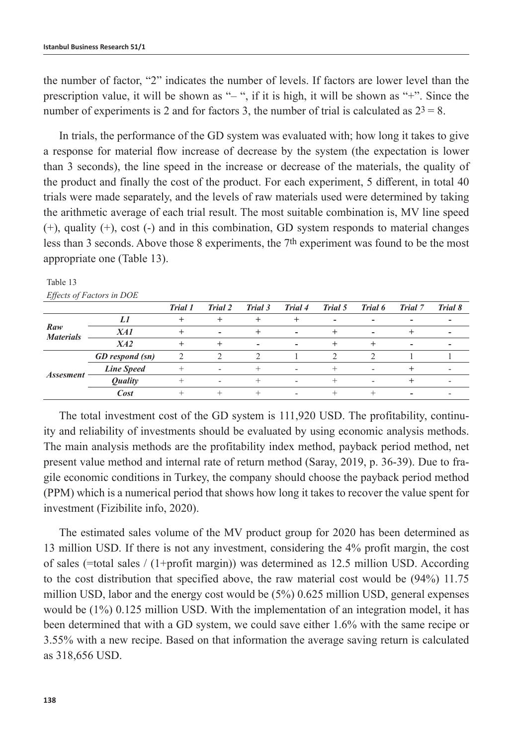the number of factor, "2" indicates the number of levels. If factors are lower level than the prescription value, it will be shown as "– ", if it is high, it will be shown as "+". Since the number of experiments is 2 and for factors 3, the number of trial is calculated as  $2^3 = 8$ .

In trials, the performance of the GD system was evaluated with; how long it takes to give a response for material flow increase of decrease by the system (the expectation is lower than 3 seconds), the line speed in the increase or decrease of the materials, the quality of the product and finally the cost of the product. For each experiment, 5 different, in total 40 trials were made separately, and the levels of raw materials used were determined by taking the arithmetic average of each trial result. The most suitable combination is, MV line speed (+), quality (+), cost (-) and in this combination, GD system responds to material changes less than 3 seconds. Above those 8 experiments, the 7th experiment was found to be the most appropriate one (Table 13).

| L                                  |                        |                |                          |         |                          |         |         |         |                          |
|------------------------------------|------------------------|----------------|--------------------------|---------|--------------------------|---------|---------|---------|--------------------------|
|                                    |                        | Trial 1        | Trial 2                  | Trial 3 | Trial 4                  | Trial 5 | Trial 6 | Trial 7 | Trial 8                  |
| $\mathbb{R}aw$<br><b>Materials</b> | Ll                     |                |                          |         |                          | -       |         |         |                          |
|                                    | XA1                    |                | $\overline{\phantom{a}}$ |         | $\overline{\phantom{a}}$ |         | ٠       |         | $\overline{\phantom{a}}$ |
|                                    | X42                    |                |                          |         | $\overline{\phantom{0}}$ |         |         |         |                          |
| <i>Assesment</i>                   | <b>GD</b> respond (sn) | $\overline{2}$ |                          | ◠       |                          |         |         |         |                          |
|                                    | <b>Line Speed</b>      |                |                          |         |                          |         |         |         |                          |
|                                    | <b>Quality</b>         |                |                          |         | $\sim$                   |         |         |         |                          |
|                                    | Cost                   |                |                          |         |                          |         |         |         |                          |

Table 13 *Effects of Factors in DOE*

The total investment cost of the GD system is 111,920 USD. The profitability, continuity and reliability of investments should be evaluated by using economic analysis methods. The main analysis methods are the profitability index method, payback period method, net present value method and internal rate of return method (Saray, 2019, p. 36-39). Due to fragile economic conditions in Turkey, the company should choose the payback period method (PPM) which is a numerical period that shows how long it takes to recover the value spent for investment (Fizibilite info, 2020).

The estimated sales volume of the MV product group for 2020 has been determined as 13 million USD. If there is not any investment, considering the 4% profit margin, the cost of sales (=total sales / (1+profit margin)) was determined as 12.5 million USD. According to the cost distribution that specified above, the raw material cost would be (94%) 11.75 million USD, labor and the energy cost would be (5%) 0.625 million USD, general expenses would be (1%) 0.125 million USD. With the implementation of an integration model, it has been determined that with a GD system, we could save either 1.6% with the same recipe or 3.55% with a new recipe. Based on that information the average saving return is calculated as 318,656 USD.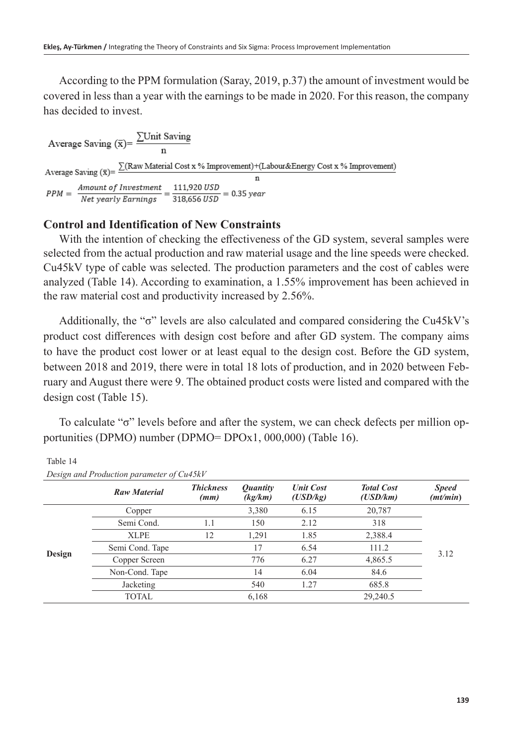According to the PPM formulation (Saray, 2019, p.37) the amount of investment would be covered in less than a year with the earnings to be made in 2020. For this reason, the company has decided to invest.

Average Saving  $(\bar{x}) = \frac{\sum Unit \, \text{Saving}}{n}$ Average Saving  $(\bar{x}) = \frac{\sum (Raw Material Cost x \% Improvement) + (Labelour \& Energy Cost x \% Improvement)}{}$  $\frac{Amount~of~Investment}{Net~years~V~Earning} = \frac{111,920~USD}{318,656~USD} = 0.35~year$  $PPM =$ 

## **Control and Identification of New Constraints**

With the intention of checking the effectiveness of the GD system, several samples were selected from the actual production and raw material usage and the line speeds were checked. Cu45kV type of cable was selected. The production parameters and the cost of cables were analyzed (Table 14). According to examination, a 1.55% improvement has been achieved in the raw material cost and productivity increased by 2.56%.

Additionally, the "σ" levels are also calculated and compared considering the Cu45kV's product cost differences with design cost before and after GD system. The company aims to have the product cost lower or at least equal to the design cost. Before the GD system, between 2018 and 2019, there were in total 18 lots of production, and in 2020 between February and August there were 9. The obtained product costs were listed and compared with the design cost (Table 15).

To calculate "σ" levels before and after the system, we can check defects per million opportunities (DPMO) number (DPMO= DPOx1, 000,000) (Table 16).

|        | Design and Production parameter of Cu45kV |                          |                                   |                              |                               |                          |  |
|--------|-------------------------------------------|--------------------------|-----------------------------------|------------------------------|-------------------------------|--------------------------|--|
|        | <b>Raw Material</b>                       | <b>Thickness</b><br>(mm) | <i><b>Quantity</b></i><br>(kg/km) | <b>Unit Cost</b><br>(USD/kg) | <b>Total Cost</b><br>(USD/km) | <b>Speed</b><br>(mt/min) |  |
|        | Copper                                    |                          | 3,380                             | 6.15                         | 20,787                        |                          |  |
|        | Semi Cond.                                | 1.1                      | 150                               | 2.12                         | 318                           |                          |  |
|        | <b>XLPE</b>                               | 12                       | 1,291                             | 1.85                         | 2,388.4                       |                          |  |
| Design | Semi Cond. Tape                           |                          | 17                                | 6.54                         | 111.2                         | 3.12                     |  |
|        | Copper Screen                             |                          | 776                               | 6.27                         | 4,865.5                       |                          |  |
|        | Non-Cond. Tape                            |                          | 14                                | 6.04                         | 84.6                          |                          |  |
|        | Jacketing                                 |                          | 540                               | 1.27                         | 685.8                         |                          |  |
|        | TOTAL                                     |                          | 6,168                             |                              | 29,240.5                      |                          |  |

Table 14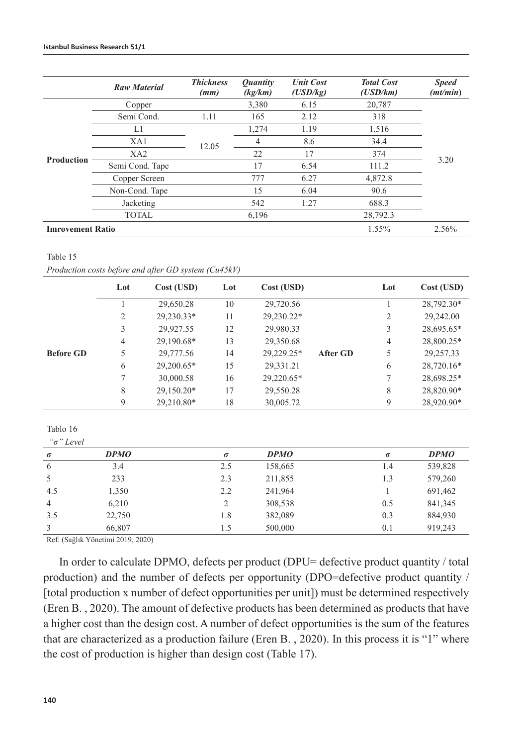|                         | <b>Raw Material</b> | <b>Thickness</b><br>(mm) | <i><b>Ouantity</b></i><br>(kg/km) | <b>Unit Cost</b><br>(USD/kg) | <b>Total Cost</b><br>(USD/km) | <b>Speed</b><br>(mt/min) |
|-------------------------|---------------------|--------------------------|-----------------------------------|------------------------------|-------------------------------|--------------------------|
|                         | Copper              |                          | 3,380                             | 6.15                         | 20,787                        |                          |
|                         | Semi Cond.          | 1.11                     | 165                               | 2.12                         | 318                           |                          |
|                         | L1                  |                          | 1.274                             | 1.19                         | 1,516                         |                          |
|                         | XA1                 | 12.05                    | 4                                 | 8.6                          | 34.4                          |                          |
| <b>Production</b>       | XA2                 |                          | 22                                | 17                           | 374                           |                          |
|                         | Semi Cond. Tape     |                          | 17                                | 6.54                         | 111.2                         | 3.20                     |
|                         | Copper Screen       |                          | 777                               | 6.27                         | 4,872.8                       |                          |
|                         | Non-Cond. Tape      |                          | 15                                | 6.04                         | 90.6                          |                          |
|                         | Jacketing           |                          | 542                               | 1.27                         | 688.3                         |                          |
|                         | <b>TOTAL</b>        |                          | 6,196                             |                              | 28,792.3                      |                          |
| <b>Imrovement Ratio</b> |                     |                          |                                   |                              | 1.55%                         | 2.56%                    |

#### Table 15

*Production costs before and after GD system (Cu45kV)*

|                  | Lot | Cost (USD) | Lot | Cost (USD) |          | Lot | Cost (USD) |
|------------------|-----|------------|-----|------------|----------|-----|------------|
|                  |     | 29,650.28  | 10  | 29,720.56  |          |     | 28,792.30* |
|                  | 2   | 29,230.33* | 11  | 29,230.22* |          | 2   | 29,242.00  |
|                  | 3   | 29,927.55  | 12  | 29,980.33  |          | 3   | 28,695.65* |
|                  | 4   | 29,190.68* | 13  | 29,350.68  |          | 4   | 28,800.25* |
| <b>Before GD</b> | 5   | 29,777.56  | 14  | 29.229.25* | After GD | 5   | 29,257.33  |
|                  | 6   | 29,200.65* | 15  | 29,331.21  |          | 6   | 28,720.16* |
|                  |     | 30,000.58  | 16  | 29,220.65* |          | 7   | 28,698.25* |
|                  | 8   | 29,150.20* | 17  | 29,550.28  |          | 8   | 28,820.90* |
|                  | 9   | 29.210.80* | 18  | 30,005.72  |          | 9   | 28,920.90* |

Tablo 16  $a = bT$   $L = 1$ 

| $\theta$<br>Level |             |          |             |          |             |
|-------------------|-------------|----------|-------------|----------|-------------|
| $\sigma$          | <b>DPMO</b> | $\sigma$ | <b>DPMO</b> | $\sigma$ | <b>DPMO</b> |
| 6                 | 3.4         | 2.5      | 158,665     | 1.4      | 539,828     |
| .5                | 233         | 2.3      | 211,855     | 1.3      | 579,260     |
| 4.5               | 1,350       | 2.2      | 241,964     |          | 691,462     |
| $\overline{4}$    | 6,210       | 2        | 308,538     | 0.5      | 841,345     |
| 3.5               | 22,750      | 1.8      | 382,089     | 0.3      | 884,930     |
| 3                 | 66,807      | 1.5      | 500,000     | 0.1      | 919.243     |

Ref: (Sağlık Yönetimi 2019, 2020)

In order to calculate DPMO, defects per product (DPU= defective product quantity / total production) and the number of defects per opportunity (DPO=defective product quantity / [total production x number of defect opportunities per unit]) must be determined respectively (Eren B. , 2020). The amount of defective products has been determined as products that have a higher cost than the design cost. A number of defect opportunities is the sum of the features that are characterized as a production failure (Eren B. , 2020). In this process it is "1" where the cost of production is higher than design cost (Table 17).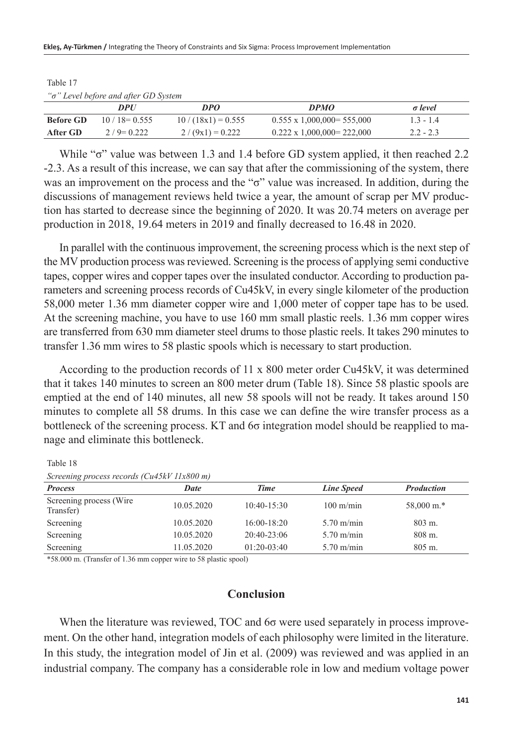#### **Ekleş, Ay-Türkmen /** Integrating the Theory of Constraints and Six Sigma: Process Improvement Implementation

| "σ" Level before and after GD System |               |                     |                                    |                |  |  |  |
|--------------------------------------|---------------|---------------------|------------------------------------|----------------|--|--|--|
|                                      | DPI/          | DPO                 | <b>DPMO</b>                        | $\sigma$ level |  |  |  |
| <b>Before GD</b>                     | $10/18=0.555$ | $10/(18x1) = 0.555$ | $0.555 \times 1,000,000 = 555,000$ | $1.3 - 1.4$    |  |  |  |
| After GD                             | $2/9$ = 0.222 | $2/(9x1) = 0.222$   | $0.222 \times 1,000,000 = 222,000$ | $2.2 - 2.3$    |  |  |  |

Table 17

While "σ" value was between 1.3 and 1.4 before GD system applied, it then reached 2.2 -2.3. As a result of this increase, we can say that after the commissioning of the system, there was an improvement on the process and the "σ" value was increased. In addition, during the discussions of management reviews held twice a year, the amount of scrap per MV production has started to decrease since the beginning of 2020. It was 20.74 meters on average per production in 2018, 19.64 meters in 2019 and finally decreased to 16.48 in 2020.

In parallel with the continuous improvement, the screening process which is the next step of the MV production process was reviewed. Screening is the process of applying semi conductive tapes, copper wires and copper tapes over the insulated conductor. According to production parameters and screening process records of Cu45kV, in every single kilometer of the production 58,000 meter 1.36 mm diameter copper wire and 1,000 meter of copper tape has to be used. At the screening machine, you have to use 160 mm small plastic reels. 1.36 mm copper wires are transferred from 630 mm diameter steel drums to those plastic reels. It takes 290 minutes to transfer 1.36 mm wires to 58 plastic spools which is necessary to start production.

According to the production records of 11 x 800 meter order Cu45kV, it was determined that it takes 140 minutes to screen an 800 meter drum (Table 18). Since 58 plastic spools are emptied at the end of 140 minutes, all new 58 spools will not be ready. It takes around 150 minutes to complete all 58 drums. In this case we can define the wire transfer process as a bottleneck of the screening process. KT and 6σ integration model should be reapplied to manage and eliminate this bottleneck.

Table 18

| $D_t$ contract process records ( $C_t$ $T$ $N$ and $T$ |            |               |                      |                       |  |  |  |
|--------------------------------------------------------|------------|---------------|----------------------|-----------------------|--|--|--|
| <b>Process</b>                                         | Date       | <b>Time</b>   | <b>Line Speed</b>    | <b>Production</b>     |  |  |  |
| Screening process (Wire.<br>Transfer)                  | 10.05.2020 | $10:40-15:30$ | $100 \text{ m/min}$  | $58,000 \text{ m.}^*$ |  |  |  |
| Screening                                              | 10.05.2020 | $16:00-18:20$ | $5.70 \text{ m/min}$ | 803 m.                |  |  |  |
| Screening                                              | 10.05.2020 | $20:40-23:06$ | $5.70 \text{ m/min}$ | $808$ m.              |  |  |  |
| Screening                                              | 11.05.2020 | $01:20-03:40$ | $5.70 \text{ m/min}$ | $805 \; \text{m}$ .   |  |  |  |

*Screening process records (Cu45kV 11x800 m)*

\*58.000 m. (Transfer of 1.36 mm copper wire to 58 plastic spool)

## **Conclusion**

When the literature was reviewed, TOC and 6σ were used separately in process improvement. On the other hand, integration models of each philosophy were limited in the literature. In this study, the integration model of Jin et al. (2009) was reviewed and was applied in an industrial company. The company has a considerable role in low and medium voltage power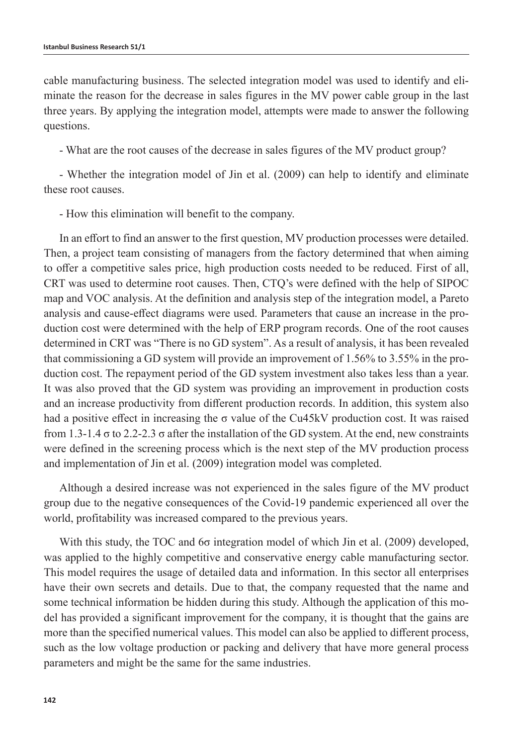cable manufacturing business. The selected integration model was used to identify and eliminate the reason for the decrease in sales figures in the MV power cable group in the last three years. By applying the integration model, attempts were made to answer the following questions.

- What are the root causes of the decrease in sales figures of the MV product group?

- Whether the integration model of Jin et al. (2009) can help to identify and eliminate these root causes.

- How this elimination will benefit to the company.

In an effort to find an answer to the first question, MV production processes were detailed. Then, a project team consisting of managers from the factory determined that when aiming to offer a competitive sales price, high production costs needed to be reduced. First of all, CRT was used to determine root causes. Then, CTQ's were defined with the help of SIPOC map and VOC analysis. At the definition and analysis step of the integration model, a Pareto analysis and cause-effect diagrams were used. Parameters that cause an increase in the production cost were determined with the help of ERP program records. One of the root causes determined in CRT was "There is no GD system". As a result of analysis, it has been revealed that commissioning a GD system will provide an improvement of 1.56% to 3.55% in the production cost. The repayment period of the GD system investment also takes less than a year. It was also proved that the GD system was providing an improvement in production costs and an increase productivity from different production records. In addition, this system also had a positive effect in increasing the  $\sigma$  value of the Cu45kV production cost. It was raised from 1.3-1.4  $\sigma$  to 2.2-2.3  $\sigma$  after the installation of the GD system. At the end, new constraints were defined in the screening process which is the next step of the MV production process and implementation of Jin et al. (2009) integration model was completed.

Although a desired increase was not experienced in the sales figure of the MV product group due to the negative consequences of the Covid-19 pandemic experienced all over the world, profitability was increased compared to the previous years.

With this study, the TOC and 6σ integration model of which Jin et al. (2009) developed, was applied to the highly competitive and conservative energy cable manufacturing sector. This model requires the usage of detailed data and information. In this sector all enterprises have their own secrets and details. Due to that, the company requested that the name and some technical information be hidden during this study. Although the application of this model has provided a significant improvement for the company, it is thought that the gains are more than the specified numerical values. This model can also be applied to different process, such as the low voltage production or packing and delivery that have more general process parameters and might be the same for the same industries.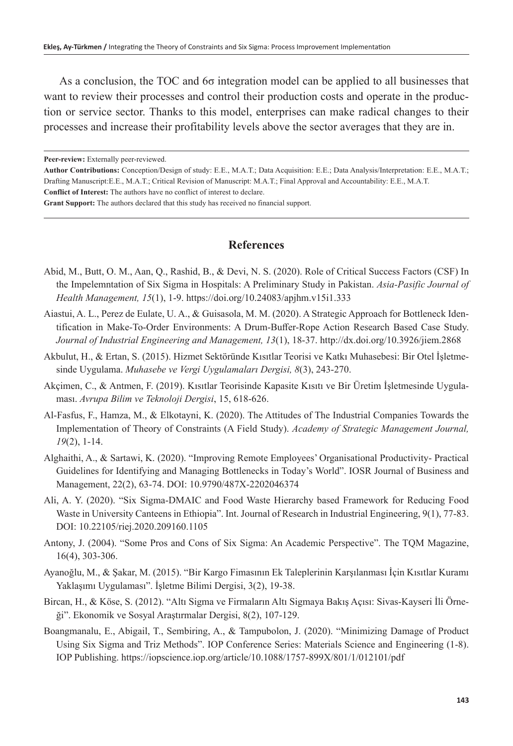As a conclusion, the TOC and 6σ integration model can be applied to all businesses that want to review their processes and control their production costs and operate in the production or service sector. Thanks to this model, enterprises can make radical changes to their processes and increase their profitability levels above the sector averages that they are in.

**Peer-review:** Externally peer-reviewed.

**Grant Support:** The authors declared that this study has received no financial support.

## **References**

- Abid, M., Butt, O. M., Aan, Q., Rashid, B., & Devi, N. S. (2020). Role of Critical Success Factors (CSF) In the Impelemntation of Six Sigma in Hospitals: A Preliminary Study in Pakistan. *Asia-Pasific Journal of Health Management, 15*(1), 1-9. https://doi.org/10.24083/apjhm.v15i1.333
- Aiastui, A. L., Perez de Eulate, U. A., & Guisasola, M. M. (2020). A Strategic Approach for Bottleneck Identification in Make-To-Order Environments: A Drum-Buffer-Rope Action Research Based Case Study. *Journal of Industrial Engineering and Management, 13*(1), 18-37. http://dx.doi.org/10.3926/jiem.2868
- Akbulut, H., & Ertan, S. (2015). Hizmet Sektöründe Kısıtlar Teorisi ve Katkı Muhasebesi: Bir Otel İşletmesinde Uygulama. *Muhasebe ve Vergi Uygulamaları Dergisi, 8*(3), 243-270.
- Akçimen, C., & Antmen, F. (2019). Kısıtlar Teorisinde Kapasite Kısıtı ve Bir Üretim İşletmesinde Uygulaması. *Avrupa Bilim ve Teknoloji Dergisi*, 15, 618-626.
- Al-Fasfus, F., Hamza, M., & Elkotayni, K. (2020). The Attitudes of The Industrial Companies Towards the Implementation of Theory of Constraints (A Field Study). *Academy of Strategic Management Journal, 19*(2), 1-14.
- Alghaithi, A., & Sartawi, K. (2020). "Improving Remote Employees' Organisational Productivity- Practical Guidelines for Identifying and Managing Bottlenecks in Today's World". IOSR Journal of Business and Management, 22(2), 63-74. DOI: 10.9790/487X-2202046374
- Ali, A. Y. (2020). "Six Sigma-DMAIC and Food Waste Hierarchy based Framework for Reducing Food Waste in University Canteens in Ethiopia". Int. Journal of Research in Industrial Engineering, 9(1), 77-83. DOI: 10.22105/riej.2020.209160.1105
- Antony, J. (2004). "Some Pros and Cons of Six Sigma: An Academic Perspective". The TQM Magazine, 16(4), 303-306.
- Ayanoğlu, M., & Şakar, M. (2015). "Bir Kargo Fimasının Ek Taleplerinin Karşılanması İçin Kısıtlar Kuramı Yaklaşımı Uygulaması". İşletme Bilimi Dergisi, 3(2), 19-38.
- Bircan, H., & Köse, S. (2012). "Altı Sigma ve Firmaların Altı Sigmaya Bakış Açısı: Sivas-Kayseri İli Örneği". Ekonomik ve Sosyal Araştırmalar Dergisi, 8(2), 107-129.
- Boangmanalu, E., Abigail, T., Sembiring, A., & Tampubolon, J. (2020). "Minimizing Damage of Product Using Six Sigma and Triz Methods". IOP Conference Series: Materials Science and Engineering (1-8). IOP Publishing. https://iopscience.iop.org/article/10.1088/1757-899X/801/1/012101/pdf

**Author Contributions:** Conception/Design of study: E.E., M.A.T.; Data Acquisition: E.E.; Data Analysis/Interpretation: E.E., M.A.T.; Drafting Manuscript:E.E., M.A.T.; Critical Revision of Manuscript: M.A.T.; Final Approval and Accountability: E.E., M.A.T. **Conflict of Interest:** The authors have no conflict of interest to declare.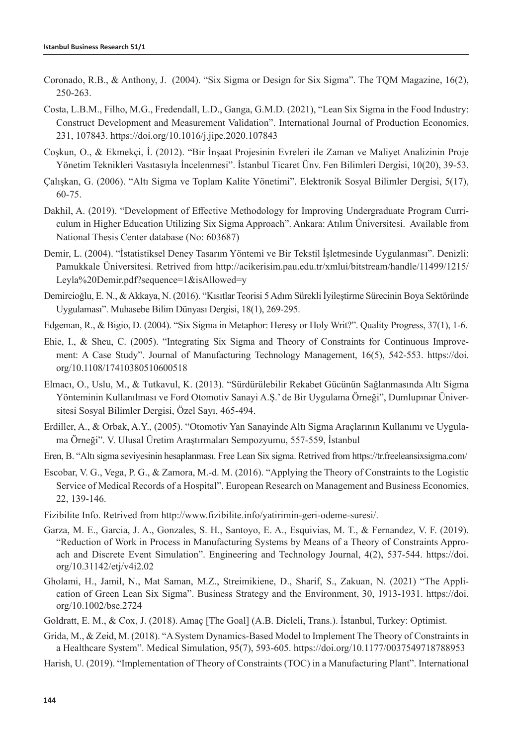- Coronado, R.B., & Anthony, J. (2004). "Six Sigma or Design for Six Sigma". The TQM Magazine, 16(2), 250-263.
- Costa, L.B.M., Filho, M.G., Fredendall, L.D., Ganga, G.M.D. (2021), "Lean Six Sigma in the Food Industry: Construct Development and Measurement Validation". International Journal of Production Economics, 231, 107843. https://doi.org/10.1016/j.jipe.2020.107843
- Coşkun, O., & Ekmekçi, İ. (2012). "Bir İnşaat Projesinin Evreleri ile Zaman ve Maliyet Analizinin Proje Yönetim Teknikleri Vasıtasıyla İncelenmesi". İstanbul Ticaret Ünv. Fen Bilimleri Dergisi, 10(20), 39-53.
- Çalışkan, G. (2006). "Altı Sigma ve Toplam Kalite Yönetimi". Elektronik Sosyal Bilimler Dergisi, 5(17), 60-75.
- Dakhil, A. (2019). "Development of Effective Methodology for Improving Undergraduate Program Curriculum in Higher Education Utilizing Six Sigma Approach". Ankara: Atılım Üniversitesi. Available from National Thesis Center database (No: 603687)
- Demir, L. (2004). "İstatistiksel Deney Tasarım Yöntemi ve Bir Tekstil İşletmesinde Uygulanması". Denizli: Pamukkale Üniversitesi. Retrived from http://acikerisim.pau.edu.tr/xmlui/bitstream/handle/11499/1215/ Leyla%20Demir.pdf?sequence=1&isAllowed=y
- Demircioğlu, E. N., & Akkaya, N. (2016). "Kısıtlar Teorisi 5 Adım Sürekli İyileştirme Sürecinin Boya Sektöründe Uygulaması". Muhasebe Bilim Dünyası Dergisi, 18(1), 269-295.
- Edgeman, R., & Bigio, D. (2004). "Six Sigma in Metaphor: Heresy or Holy Writ?". Quality Progress, 37(1), 1-6.
- Ehie, I., & Sheu, C. (2005). "Integrating Six Sigma and Theory of Constraints for Continuous Improvement: A Case Study". Journal of Manufacturing Technology Management, 16(5), 542-553. https://doi. org/10.1108/17410380510600518
- Elmacı, O., Uslu, M., & Tutkavul, K. (2013). "Sürdürülebilir Rekabet Gücünün Sağlanmasında Altı Sigma Yönteminin Kullanılması ve Ford Otomotiv Sanayi A.Ş.' de Bir Uygulama Örneği", Dumlupınar Üniversitesi Sosyal Bilimler Dergisi, Özel Sayı, 465-494.
- Erdiller, A., & Orbak, A.Y., (2005). "Otomotiv Yan Sanayinde Altı Sigma Araçlarının Kullanımı ve Uygulama Örneği". V. Ulusal Üretim Araştırmaları Sempozyumu, 557-559, İstanbul
- Eren, B. "Altı sigma seviyesinin hesaplanması. Free Lean Six sigma. Retrived from https://tr.freeleansixsigma.com/
- Escobar, V. G., Vega, P. G., & Zamora, M.-d. M. (2016). "Applying the Theory of Constraints to the Logistic Service of Medical Records of a Hospital". European Research on Management and Business Economics, 22, 139-146.
- Fizibilite Info. Retrived from http://www.fizibilite.info/yatirimin-geri-odeme-suresi/.
- Garza, M. E., Garcia, J. A., Gonzales, S. H., Santoyo, E. A., Esquivias, M. T., & Fernandez, V. F. (2019). "Reduction of Work in Process in Manufacturing Systems by Means of a Theory of Constraints Approach and Discrete Event Simulation". Engineering and Technology Journal, 4(2), 537-544. https://doi. org/10.31142/etj/v4i2.02
- Gholami, H., Jamil, N., Mat Saman, M.Z., Streimikiene, D., Sharif, S., Zakuan, N. (2021) "The Application of Green Lean Six Sigma". Business Strategy and the Environment, 30, 1913-1931. https://doi. org/10.1002/bse.2724
- Goldratt, E. M., & Cox, J. (2018). Amaç [The Goal] (A.B. Dicleli, Trans.). İstanbul, Turkey: Optimist.
- Grida, M., & Zeid, M. (2018). "A System Dynamics-Based Model to Implement The Theory of Constraints in a Healthcare System". Medical Simulation, 95(7), 593-605. https://doi.org/10.1177/0037549718788953
- Harish, U. (2019). "Implementation of Theory of Constraints (TOC) in a Manufacturing Plant". International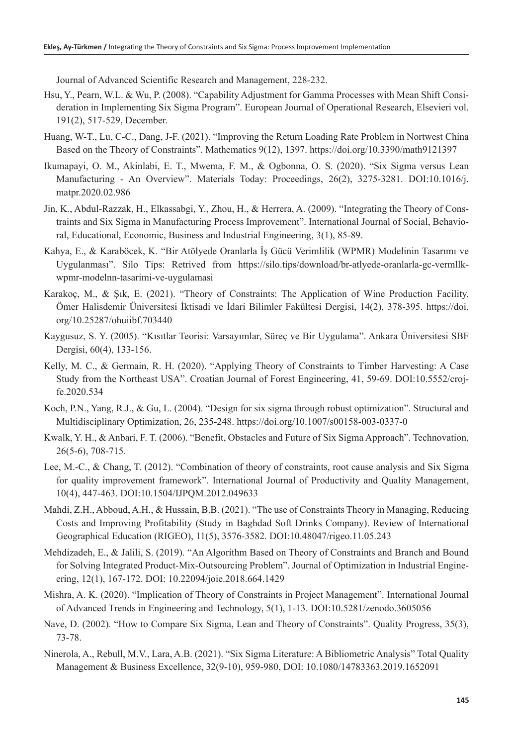Journal of Advanced Scientific Research and Management, 228-232.

- Hsu, Y., Pearn, W.L. & Wu, P. (2008). "Capability Adjustment for Gamma Processes with Mean Shift Consideration in Implementing Six Sigma Program". European Journal of Operational Research, Elsevieri vol. 191(2), 517-529, December.
- Huang, W-T., Lu, C-C., Dang, J-F. (2021). "Improving the Return Loading Rate Problem in Nortwest China Based on the Theory of Constraints". Mathematics 9(12), 1397. https://doi.org/10.3390/math9121397
- Ikumapayi, O. M., Akinlabi, E. T., Mwema, F. M., & Ogbonna, O. S. (2020). "Six Sigma versus Lean Manufacturing - An Overview". Materials Today: Proceedings, 26(2), 3275-3281. DOI:10.1016/j. matpr.2020.02.986
- Jin, K., Abdul-Razzak, H., Elkassabgi, Y., Zhou, H., & Herrera, A. (2009). "Integrating the Theory of Constraints and Six Sigma in Manufacturing Process Improvement". International Journal of Social, Behavioral, Educational, Economic, Business and Industrial Engineering, 3(1), 85-89.
- Kahya, E., & Karaböcek, K. "Bir Atölyede Oranlarla İş Gücü Verimlilik (WPMR) Modelinin Tasarımı ve Uygulanması". Silo Tips: Retrived from https://silo.tips/download/br-atlyede-oranlarla-gc-vermllkwpmr-modelnn-tasarimi-ve-uygulamasi
- Karakoç, M., & Şık, E. (2021). "Theory of Constraints: The Application of Wine Production Facility. Ömer Halisdemir Üniversitesi İktisadi ve İdari Bilimler Fakültesi Dergisi, 14(2), 378-395. https://doi. org/10.25287/ohuiibf.703440
- Kaygusuz, S. Y. (2005). "Kısıtlar Teorisi: Varsayımlar, Süreç ve Bir Uygulama". Ankara Üniversitesi SBF Dergisi, 60(4), 133-156.
- Kelly, M. C., & Germain, R. H. (2020). "Applying Theory of Constraints to Timber Harvesting: A Case Study from the Northeast USA". Croatian Journal of Forest Engineering, 41, 59-69. DOI:10.5552/crojfe.2020.534
- Koch, P.N., Yang, R.J., & Gu, L. (2004). "Design for six sigma through robust optimization". Structural and Multidisciplinary Optimization, 26, 235-248. https://doi.org/10.1007/s00158-003-0337-0
- Kwalk, Y. H., & Anbari, F. T. (2006). "Benefit, Obstacles and Future of Six Sigma Approach". Technovation, 26(5-6), 708-715.
- Lee, M.-C., & Chang, T. (2012). "Combination of theory of constraints, root cause analysis and Six Sigma for quality improvement framework". International Journal of Productivity and Quality Management, 10(4), 447-463. DOI:10.1504/IJPQM.2012.049633
- Mahdi, Z.H., Abboud, A.H., & Hussain, B.B. (2021). "The use of Constraints Theory in Managing, Reducing Costs and Improving Profitability (Study in Baghdad Soft Drinks Company). Review of International Geographical Education (RIGEO), 11(5), 3576-3582. DOI:10.48047/rigeo.11.05.243
- Mehdizadeh, E., & Jalili, S. (2019). "An Algorithm Based on Theory of Constraints and Branch and Bound for Solving Integrated Product-Mix-Outsourcing Problem". Journal of Optimization in Industrial Engineering, 12(1), 167-172. DOI: 10.22094/joie.2018.664.1429
- Mishra, A. K. (2020). "Implication of Theory of Constraints in Project Management". International Journal of Advanced Trends in Engineering and Technology, 5(1), 1-13. DOI:10.5281/zenodo.3605056
- Nave, D. (2002). "How to Compare Six Sigma, Lean and Theory of Constraints". Quality Progress, 35(3), 73-78.
- Ninerola, A., Rebull, M.V., Lara, A.B. (2021). "Six Sigma Literature: A Bibliometric Analysis" Total Quality Management & Business Excellence, 32(9-10), 959-980, DOI: 10.1080/14783363.2019.1652091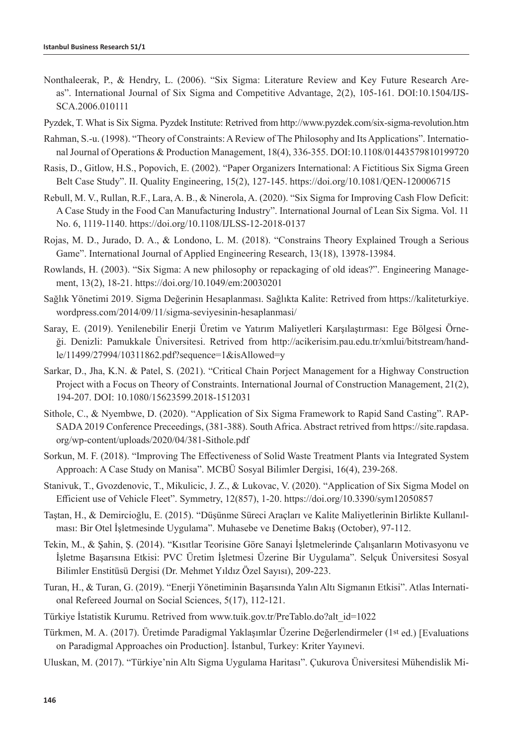- Nonthaleerak, P., & Hendry, L. (2006). "Six Sigma: Literature Review and Key Future Research Areas". International Journal of Six Sigma and Competitive Advantage, 2(2), 105-161. DOI:10.1504/IJS-SCA.2006.010111
- Pyzdek, T. What is Six Sigma. Pyzdek Institute: Retrived from http://www.pyzdek.com/six-sigma-revolution.htm
- Rahman, S.-u. (1998). "Theory of Constraints: A Review of The Philosophy and Its Applications". International Journal of Operations & Production Management, 18(4), 336-355. DOI:10.1108/01443579810199720
- Rasis, D., Gitlow, H.S., Popovich, E. (2002). "Paper Organizers International: A Fictitious Six Sigma Green Belt Case Study". II. Quality Engineering, 15(2), 127-145. https://doi.org/10.1081/QEN-120006715
- Rebull, M. V., Rullan, R.F., Lara, A. B., & Ninerola, A. (2020). "Six Sigma for Improving Cash Flow Deficit: A Case Study in the Food Can Manufacturing Industry". International Journal of Lean Six Sigma. Vol. 11 No. 6, 1119-1140. https://doi.org/10.1108/IJLSS-12-2018-0137
- Rojas, M. D., Jurado, D. A., & Londono, L. M. (2018). "Constrains Theory Explained Trough a Serious Game". International Journal of Applied Engineering Research, 13(18), 13978-13984.
- Rowlands, H. (2003). "Six Sigma: A new philosophy or repackaging of old ideas?". Engineering Management, 13(2), 18-21. https://doi.org/10.1049/em:20030201
- Sağlık Yönetimi 2019. Sigma Değerinin Hesaplanması. Sağlıkta Kalite: Retrived from https://kaliteturkiye. wordpress.com/2014/09/11/sigma-seviyesinin-hesaplanmasi/
- Saray, E. (2019). Yenilenebilir Enerji Üretim ve Yatırım Maliyetleri Karşılaştırması: Ege Bölgesi Örneği. Denizli: Pamukkale Üniversitesi. Retrived from http://acikerisim.pau.edu.tr/xmlui/bitstream/handle/11499/27994/10311862.pdf?sequence=1&isAllowed=y
- Sarkar, D., Jha, K.N. & Patel, S. (2021). "Critical Chain Porject Management for a Highway Construction Project with a Focus on Theory of Constraints. International Journal of Construction Management, 21(2), 194-207. DOI: 10.1080/15623599.2018-1512031
- Sithole, C., & Nyembwe, D. (2020). "Application of Six Sigma Framework to Rapid Sand Casting". RAP-SADA 2019 Conference Preceedings, (381-388). South Africa. Abstract retrived from https://site.rapdasa. org/wp-content/uploads/2020/04/381-Sithole.pdf
- Sorkun, M. F. (2018). "Improving The Effectiveness of Solid Waste Treatment Plants via Integrated System Approach: A Case Study on Manisa". MCBÜ Sosyal Bilimler Dergisi, 16(4), 239-268.
- Stanivuk, T., Gvozdenovic, T., Mikulicic, J. Z., & Lukovac, V. (2020). "Application of Six Sigma Model on Efficient use of Vehicle Fleet". Symmetry, 12(857), 1-20. https://doi.org/10.3390/sym12050857
- Taştan, H., & Demircioğlu, E. (2015). "Düşünme Süreci Araçları ve Kalite Maliyetlerinin Birlikte Kullanılması: Bir Otel İşletmesinde Uygulama". Muhasebe ve Denetime Bakış (October), 97-112.
- Tekin, M., & Şahin, Ş. (2014). "Kısıtlar Teorisine Göre Sanayi İşletmelerinde Çalışanların Motivasyonu ve İşletme Başarısına Etkisi: PVC Üretim İşletmesi Üzerine Bir Uygulama". Selçuk Üniversitesi Sosyal Bilimler Enstitüsü Dergisi (Dr. Mehmet Yıldız Özel Sayısı), 209-223.
- Turan, H., & Turan, G. (2019). "Enerji Yönetiminin Başarısında Yalın Altı Sigmanın Etkisi". Atlas International Refereed Journal on Social Sciences, 5(17), 112-121.
- Türkiye İstatistik Kurumu. Retrived from www.tuik.gov.tr/PreTablo.do?alt\_id=1022
- Türkmen, M. A. (2017). Üretimde Paradigmal Yaklaşımlar Üzerine Değerlendirmeler (1st ed.) [Evaluations on Paradigmal Approaches oin Production]. İstanbul, Turkey: Kriter Yayınevi.
- Uluskan, M. (2017). "Türkiye'nin Altı Sigma Uygulama Haritası". Çukurova Üniversitesi Mühendislik Mi-